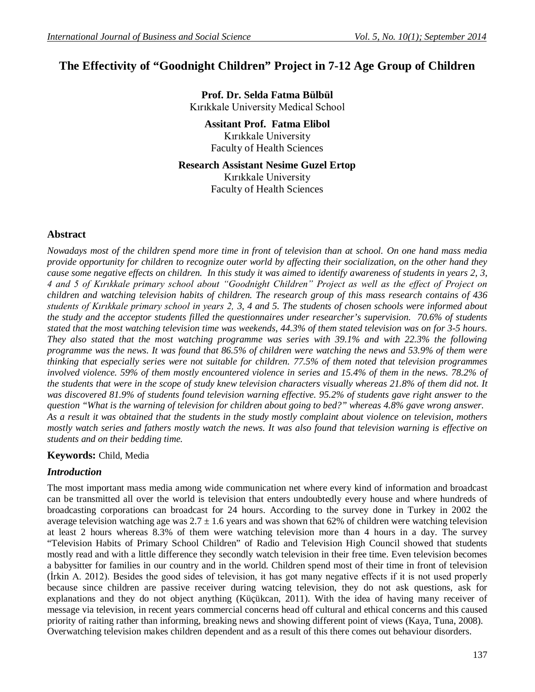# **The Effectivity of "Goodnight Children" Project in 7-12 Age Group of Children**

**Prof. Dr. Selda Fatma Bülbül** Kırıkkale University Medical School

**Assitant Prof. Fatma Elibol** Kırıkkale University Faculty of Health Sciences

**Research Assistant Nesime Guzel Ertop** Kırıkkale University Faculty of Health Sciences

### **Abstract**

*Nowadays most of the children spend more time in front of television than at school. On one hand mass media provide opportunity for children to recognize outer world by affecting their socialization, on the other hand they cause some negative effects on children. In this study it was aimed to identify awareness of students in years 2, 3, 4 and 5 of Kırıkkale primary school about "Goodnight Children" Project as well as the effect of Project on children and watching television habits of children. The research group of this mass research contains of 436 students of Kırıkkale primary school in years 2, 3, 4 and 5. The students of chosen schools were informed about the study and the acceptor students filled the questionnaires under researcher's supervision. 70.6% of students stated that the most watching television time was weekends, 44.3% of them stated television was on for 3-5 hours. They also stated that the most watching programme was series with 39.1% and with 22.3% the following programme was the news. It was found that 86.5% of children were watching the news and 53.9% of them were thinking that especially series were not suitable for children. 77.5% of them noted that television programmes*  involved violence. 59% of them mostly encountered violence in series and 15.4% of them in the news. 78.2% of *the students that were in the scope of study knew television characters visually whereas 21.8% of them did not. It was discovered 81.9% of students found television warning effective. 95.2% of students gave right answer to the question "What is the warning of television for children about going to bed?" whereas 4.8% gave wrong answer. As a result it was obtained that the students in the study mostly complaint about violence on television, mothers mostly watch series and fathers mostly watch the news. It was also found that television warning is effective on students and on their bedding time.* 

#### **Keywords:** Child, Media

# *Introduction*

The most important mass media among wide communication net where every kind of information and broadcast can be transmitted all over the world is television that enters undoubtedly every house and where hundreds of broadcasting corporations can broadcast for 24 hours. According to the survey done in Turkey in 2002 the average television watching age was  $2.7 \pm 1.6$  years and was shown that 62% of children were watching television at least 2 hours whereas 8.3% of them were watching television more than 4 hours in a day. The survey "Television Habits of Primary School Children" of Radio and Television High Council showed that students mostly read and with a little difference they secondly watch television in their free time. Even television becomes a babysitter for families in our country and in the world. Children spend most of their time in front of television (İrkin A. 2012). Besides the good sides of television, it has got many negative effects if it is not used properly because since children are passive receiver during watcing television, they do not ask questions, ask for explanations and they do not object anything (Küçükcan, 2011). With the idea of having many receiver of message via television, in recent years commercial concerns head off cultural and ethical concerns and this caused priority of raiting rather than informing, breaking news and showing different point of views (Kaya, Tuna, 2008). Overwatching television makes children dependent and as a result of this there comes out behaviour disorders.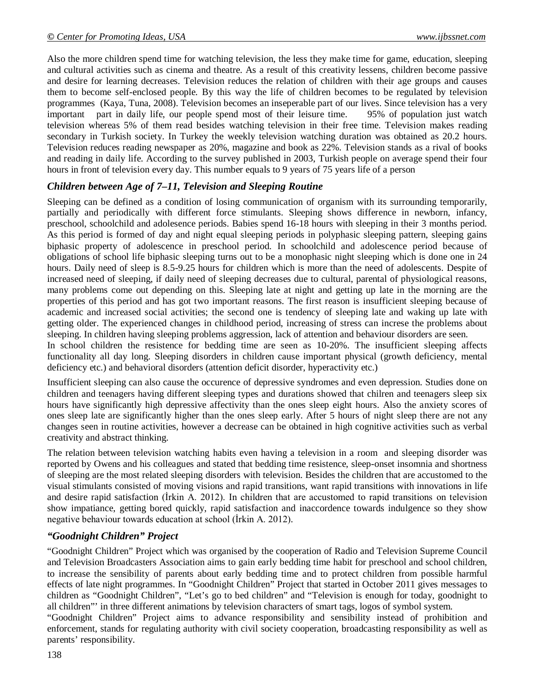Also the more children spend time for watching television, the less they make time for game, education, sleeping and cultural activities such as cinema and theatre. As a result of this creativity lessens, children become passive and desire for learning decreases. Television reduces the relation of children with their age groups and causes them to become self-enclosed people. By this way the life of children becomes to be regulated by television programmes (Kaya, Tuna, 2008). Television becomes an inseperable part of our lives. Since television has a very important part in daily life, our people spend most of their leisure time. 95% of population just watch television whereas 5% of them read besides watching television in their free time. Television makes reading secondary in Turkish society. In Turkey the weekly television watching duration was obtained as 20.2 hours. Television reduces reading newspaper as 20%, magazine and book as 22%. Television stands as a rival of books and reading in daily life. According to the survey published in 2003, Turkish people on average spend their four hours in front of television every day. This number equals to 9 years of 75 years life of a person

# *Children between Age of 7–11, Television and Sleeping Routine*

Sleeping can be defined as a condition of losing communication of organism with its surrounding temporarily, partially and periodically with different force stimulants. Sleeping shows difference in newborn, infancy, preschool, schoolchild and adolesence periods. Babies spend 16-18 hours with sleeping in their 3 months period. As this period is formed of day and night equal sleeping periods in polyphasic sleeping pattern, sleeping gains biphasic property of adolescence in preschool period. In schoolchild and adolescence period because of obligations of school life biphasic sleeping turns out to be a monophasic night sleeping which is done one in 24 hours. Daily need of sleep is 8.5-9.25 hours for children which is more than the need of adolescents. Despite of increased need of sleeping, if daily need of sleeping decreases due to cultural, parental of physiological reasons, many problems come out depending on this. Sleeping late at night and getting up late in the morning are the properties of this period and has got two important reasons. The first reason is insufficient sleeping because of academic and increased social activities; the second one is tendency of sleeping late and waking up late with getting older. The experienced changes in childhood period, increasing of stress can increse the problems about sleeping. In children having sleeping problems aggression, lack of attention and behaviour disorders are seen.

In school children the resistence for bedding time are seen as 10-20%. The insufficient sleeping affects functionality all day long. Sleeping disorders in children cause important physical (growth deficiency, mental deficiency etc.) and behavioral disorders (attention deficit disorder, hyperactivity etc.)

Insufficient sleeping can also cause the occurence of depressive syndromes and even depression. Studies done on children and teenagers having different sleeping types and durations showed that chilren and teenagers sleep six hours have significantly high depressive affectivity than the ones sleep eight hours. Also the anxiety scores of ones sleep late are significantly higher than the ones sleep early. After 5 hours of night sleep there are not any changes seen in routine activities, however a decrease can be obtained in high cognitive activities such as verbal creativity and abstract thinking.

The relation between television watching habits even having a television in a room and sleeping disorder was reported by Owens and his colleagues and stated that bedding time resistence, sleep-onset insomnia and shortness of sleeping are the most related sleeping disorders with television. Besides the children that are accustomed to the visual stimulants consisted of moving visions and rapid transitions, want rapid transitions with innovations in life and desire rapid satisfaction (İrkin A. 2012). In children that are accustomed to rapid transitions on television show impatiance, getting bored quickly, rapid satisfaction and inaccordence towards indulgence so they show negative behaviour towards education at school (İrkin A. 2012).

# *"Goodnight Children" Project*

"Goodnight Children" Project which was organised by the cooperation of Radio and Television Supreme Council and Television Broadcasters Association aims to gain early bedding time habit for preschool and school children, to increase the sensibility of parents about early bedding time and to protect children from possible harmful effects of late night programmes. In "Goodnight Children" Project that started in October 2011 gives messages to children as "Goodnight Children", "Let's go to bed children" and "Television is enough for today, goodnight to all children"' in three different animations by television characters of smart tags, logos of symbol system.

"Goodnight Children" Project aims to advance responsibility and sensibility instead of prohibition and enforcement, stands for regulating authority with civil society cooperation, broadcasting responsibility as well as parents' responsibility.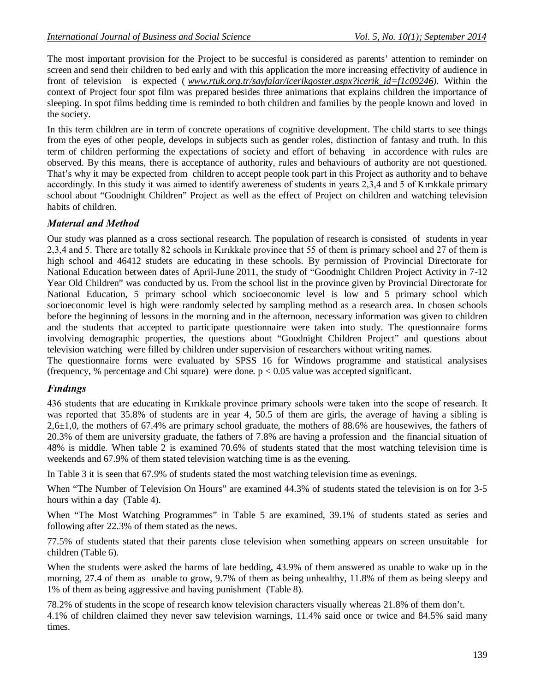The most important provision for the Project to be succesful is considered as parents' attention to reminder on screen and send their children to bed early and with this application the more increasing effectivity of audience in front of television is expected ( *www.rtuk.org.tr/sayfalar/icerikgoster.aspx?icerik\_id=f1c09246).* Within the context of Project four spot film was prepared besides three animations that explains children the importance of sleeping. In spot films bedding time is reminded to both children and families by the people known and loved in the society.

In this term children are in term of concrete operations of cognitive development. The child starts to see things from the eyes of other people, develops in subjects such as gender roles, distinction of fantasy and truth. In this term of children performing the expectations of society and effort of behaving in accordence with rules are observed. By this means, there is acceptance of authority, rules and behaviours of authority are not questioned. That's why it may be expected from children to accept people took part in this Project as authority and to behave accordingly. In this study it was aimed to identify awereness of students in years 2,3,4 and 5 of Kırıkkale primary school about "Goodnight Children" Project as well as the effect of Project on children and watching television habits of children.

# *Materıal and Method*

Our study was planned as a cross sectional research. The population of research is consisted of students in year 2,3,4 and 5. There are totally 82 schools in Kırıkkale province that 55 of them is primary school and 27 of them is high school and 46412 studets are educating in these schools. By permission of Provincial Directorate for National Education between dates of April-June 2011, the study of "Goodnight Children Project Activity in 7-12 Year Old Children" was conducted by us. From the school list in the province given by Provincial Directorate for National Education, 5 primary school which socioeconomic level is low and 5 primary school which socioeconomic level is high were randomly selected by sampling method as a research area. In chosen schools before the beginning of lessons in the morning and in the afternoon, necessary information was given to children and the students that accepted to participate questionnaire were taken into study. The questionnaire forms involving demographic properties, the questions about "Goodnight Children Project" and questions about television watching were filled by children under supervision of researchers without writing names.

The questionnaire forms were evaluated by SPSS 16 for Windows programme and statistical analysises (frequency, % percentage and Chi square) were done.  $p < 0.05$  value was accepted significant.

# *Fındıngs*

436 students that are educating in Kırıkkale province primary schools were taken into the scope of research. It was reported that 35.8% of students are in year 4, 50.5 of them are girls, the average of having a sibling is 2,6±1,0, the mothers of 67.4% are primary school graduate, the mothers of 88.6% are housewives, the fathers of 20.3% of them are university graduate, the fathers of 7.8% are having a profession and the financial situation of 48% is middle. When table 2 is examined 70.6% of students stated that the most watching television time is weekends and 67.9% of them stated television watching time is as the evening.

In Table 3 it is seen that 67.9% of students stated the most watching television time as evenings.

When "The Number of Television On Hours" are examined 44.3% of students stated the television is on for 3-5 hours within a day (Table 4).

When "The Most Watching Programmes" in Table 5 are examined, 39.1% of students stated as series and following after 22.3% of them stated as the news.

77.5% of students stated that their parents close television when something appears on screen unsuitable for children (Table 6).

When the students were asked the harms of late bedding, 43.9% of them answered as unable to wake up in the morning, 27.4 of them as unable to grow, 9.7% of them as being unhealthy, 11.8% of them as being sleepy and 1% of them as being aggressive and having punishment (Table 8).

78.2% of students in the scope of research know television characters visually whereas 21.8% of them don't. 4.1% of children claimed they never saw television warnings, 11.4% said once or twice and 84.5% said many times.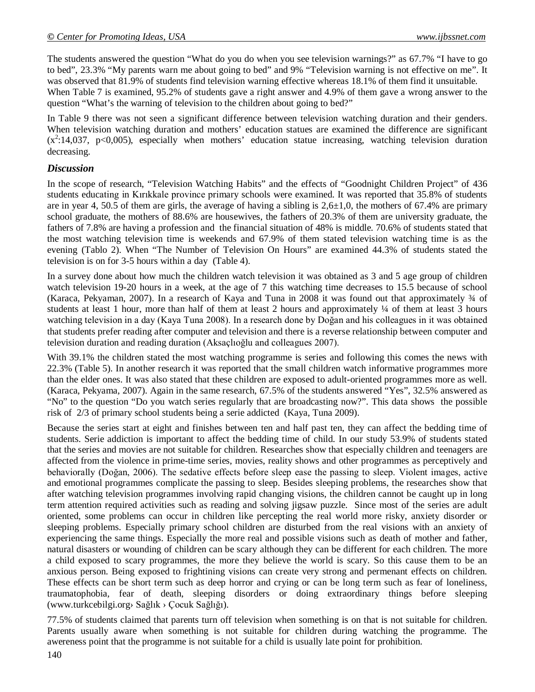The students answered the question "What do you do when you see television warnings?" as 67.7% "I have to go to bed", 23.3% "My parents warn me about going to bed" and 9% "Television warning is not effective on me". It was observed that 81.9% of students find television warning effective whereas 18.1% of them find it unsuitable.

When Table 7 is examined, 95.2% of students gave a right answer and 4.9% of them gave a wrong answer to the question "What's the warning of television to the children about going to bed?"

In Table 9 there was not seen a significant difference between television watching duration and their genders. When television watching duration and mothers' education statues are examined the difference are significant  $(x^2:14,037, p<0,005)$ , especially when mothers' education statue increasing, watching television duration decreasing.

#### *Discussion*

In the scope of research, "Television Watching Habits" and the effects of "Goodnight Children Project" of 436 students educating in Kırıkkale province primary schools were examined. It was reported that 35.8% of students are in year 4, 50.5 of them are girls, the average of having a sibling is  $2,6\pm1,0$ , the mothers of 67.4% are primary school graduate, the mothers of 88.6% are housewives, the fathers of 20.3% of them are university graduate, the fathers of 7.8% are having a profession and the financial situation of 48% is middle. 70.6% of students stated that the most watching television time is weekends and 67.9% of them stated television watching time is as the evening (Tablo 2). When "The Number of Television On Hours" are examined 44.3% of students stated the television is on for 3-5 hours within a day (Table 4).

In a survey done about how much the children watch television it was obtained as 3 and 5 age group of children watch television 19-20 hours in a week, at the age of 7 this watching time decreases to 15.5 because of school (Karaca, Pekyaman, 2007). In a research of Kaya and Tuna in 2008 it was found out that approximately ¾ of students at least 1 hour, more than half of them at least 2 hours and approximately ¼ of them at least 3 hours watching television in a day (Kaya Tuna 2008). In a research done by Doğan and his colleagues in it was obtained that students prefer reading after computer and television and there is a reverse relationship between computer and television duration and reading duration (Aksaçlıoğlu and colleagues 2007).

With 39.1% the children stated the most watching programme is series and following this comes the news with 22.3% (Table 5). In another research it was reported that the small children watch informative programmes more than the elder ones. It was also stated that these children are exposed to adult-oriented programmes more as well. (Karaca, Pekyama, 2007). Again in the same research, 67.5% of the students answered "Yes", 32.5% answered as "No" to the question "Do you watch series regularly that are broadcasting now?". This data shows the possible risk of 2/3 of primary school students being a serie addicted (Kaya, Tuna 2009).

Because the series start at eight and finishes between ten and half past ten, they can affect the bedding time of students. Serie addiction is important to affect the bedding time of child. In our study 53.9% of students stated that the series and movies are not suitable for children. Researches show that especially children and teenagers are affected from the violence in prime-time series, movies, reality shows and other programmes as perceptively and behaviorally (Doğan, 2006). The sedative effects before sleep ease the passing to sleep. Violent images, active and emotional programmes complicate the passing to sleep. Besides sleeping problems, the researches show that after watching television programmes involving rapid changing visions, the children cannot be caught up in long term attention required activities such as reading and solving jigsaw puzzle. Since most of the series are adult oriented, some problems can occur in children like percepting the real world more risky, anxiety disorder or sleeping problems. Especially primary school children are disturbed from the real visions with an anxiety of experiencing the same things. Especially the more real and possible visions such as death of mother and father, natural disasters or wounding of children can be scary although they can be different for each children. The more a child exposed to scary programmes, the more they believe the world is scary. So this cause them to be an anxious person. Being exposed to frightining visions can create very strong and permenant effects on children. These effects can be short term such as deep horror and crying or can be long term such as fear of loneliness, traumatophobia, fear of death, sleeping disorders or doing extraordinary things before sleeping (www.turkcebilgi.org› Sağlık › Çocuk Sağlığı).

77.5% of students claimed that parents turn off television when something is on that is not suitable for children. Parents usually aware when something is not suitable for children during watching the programme. The awereness point that the programme is not suitable for a child is usually late point for prohibition.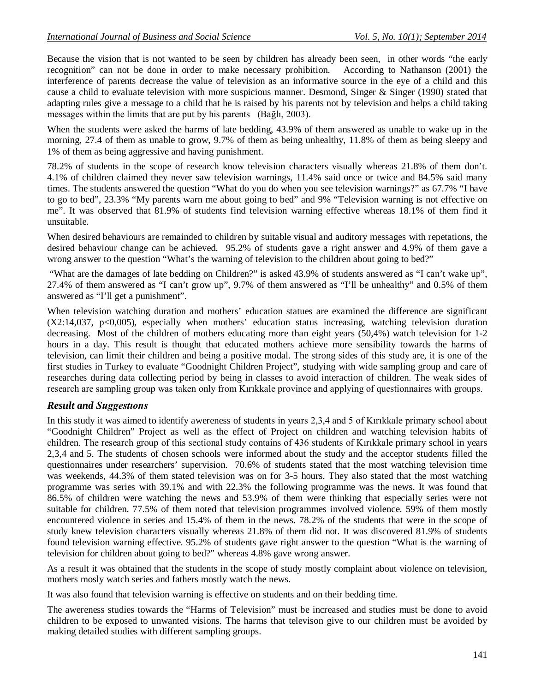Because the vision that is not wanted to be seen by children has already been seen, in other words "the early recognition" can not be done in order to make necessary prohibition. According to Nathanson (2001) the interference of parents decrease the value of television as an informative source in the eye of a child and this cause a child to evaluate television with more suspicious manner. Desmond, Singer & Singer (1990) stated that adapting rules give a message to a child that he is raised by his parents not by television and helps a child taking messages within the limits that are put by his parents (Bağlı, 2003).

When the students were asked the harms of late bedding, 43.9% of them answered as unable to wake up in the morning, 27.4 of them as unable to grow, 9.7% of them as being unhealthy, 11.8% of them as being sleepy and 1% of them as being aggressive and having punishment.

78.2% of students in the scope of research know television characters visually whereas 21.8% of them don't. 4.1% of children claimed they never saw television warnings, 11.4% said once or twice and 84.5% said many times. The students answered the question "What do you do when you see television warnings?" as 67.7% "I have to go to bed", 23.3% "My parents warn me about going to bed" and 9% "Television warning is not effective on me". It was observed that 81.9% of students find television warning effective whereas 18.1% of them find it unsuitable.

When desired behaviours are remainded to children by suitable visual and auditory messages with repetations, the desired behaviour change can be achieved. 95.2% of students gave a right answer and 4.9% of them gave a wrong answer to the question "What's the warning of television to the children about going to bed?"

"What are the damages of late bedding on Children?" is asked 43.9% of students answered as "I can't wake up", 27.4% of them answered as "I can't grow up", 9.7% of them answered as "I'll be unhealthy" and 0.5% of them answered as "I'll get a punishment".

When television watching duration and mothers' education statues are examined the difference are significant  $(X2:14,037, p<0,005)$ , especially when mothers' education status increasing, watching television duration decreasing. Most of the children of mothers educating more than eight years (50,4%) watch television for 1-2 hours in a day. This result is thought that educated mothers achieve more sensibility towards the harms of television, can limit their children and being a positive modal. The strong sides of this study are, it is one of the first studies in Turkey to evaluate "Goodnight Children Project", studying with wide sampling group and care of researches during data collecting period by being in classes to avoid interaction of children. The weak sides of research are sampling group was taken only from Kırıkkale province and applying of questionnaires with groups.

# *Result and Suggestıons*

In this study it was aimed to identify awereness of students in years 2,3,4 and 5 of Kırıkkale primary school about "Goodnight Children" Project as well as the effect of Project on children and watching television habits of children. The research group of this sectional study contains of 436 students of Kırıkkale primary school in years 2,3,4 and 5. The students of chosen schools were informed about the study and the acceptor students filled the questionnaires under researchers' supervision. 70.6% of students stated that the most watching television time was weekends, 44.3% of them stated television was on for 3-5 hours. They also stated that the most watching programme was series with 39.1% and with 22.3% the following programme was the news. It was found that 86.5% of children were watching the news and 53.9% of them were thinking that especially series were not suitable for children. 77.5% of them noted that television programmes involved violence. 59% of them mostly encountered violence in series and 15.4% of them in the news. 78.2% of the students that were in the scope of study knew television characters visually whereas 21.8% of them did not. It was discovered 81.9% of students found television warning effective. 95.2% of students gave right answer to the question "What is the warning of television for children about going to bed?" whereas 4.8% gave wrong answer.

As a result it was obtained that the students in the scope of study mostly complaint about violence on television, mothers mosly watch series and fathers mostly watch the news.

It was also found that television warning is effective on students and on their bedding time.

The awereness studies towards the "Harms of Television" must be increased and studies must be done to avoid children to be exposed to unwanted visions. The harms that televison give to our children must be avoided by making detailed studies with different sampling groups.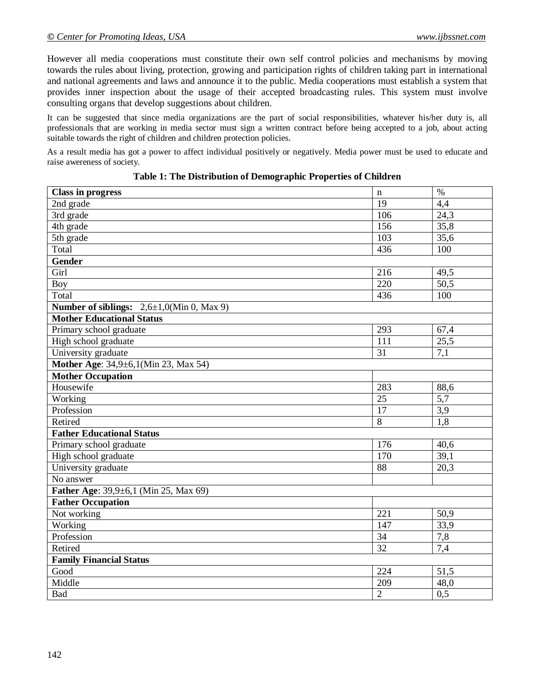However all media cooperations must constitute their own self control policies and mechanisms by moving towards the rules about living, protection, growing and participation rights of children taking part in international and national agreements and laws and announce it to the public. Media cooperations must establish a system that provides inner inspection about the usage of their accepted broadcasting rules. This system must involve consulting organs that develop suggestions about children.

It can be suggested that since media organizations are the part of social responsibilities, whatever his/her duty is, all professionals that are working in media sector must sign a written contract before being accepted to a job, about acting suitable towards the right of children and children protection policies.

As a result media has got a power to affect individual positively or negatively. Media power must be used to educate and raise awereness of society.

| <b>Class in progress</b>                       | $\mathbf n$     | $\%$              |  |
|------------------------------------------------|-----------------|-------------------|--|
| 2nd $\text{grade}$                             | 19              | 4,4               |  |
| 3rd grade                                      | 106             | 24,3              |  |
| 4th grade                                      | 156             | 35,8              |  |
| 5th grade                                      | 103             | 35,6              |  |
| Total                                          | 436             | 100               |  |
| Gender                                         |                 |                   |  |
| Girl                                           | 216             | 49,5              |  |
| <b>Boy</b>                                     | 220             | 50,5              |  |
| Total                                          | 436             | 100               |  |
| Number of siblings: $2,6\pm1,0$ (Min 0, Max 9) |                 |                   |  |
| <b>Mother Educational Status</b>               |                 |                   |  |
| Primary school graduate                        | 293             | 67,4              |  |
| High school graduate                           | 111             | 25,5              |  |
| University graduate                            | 31              | 7,1               |  |
| Mother Age: 34,9±6,1(Min 23, Max 54)           |                 |                   |  |
| <b>Mother Occupation</b>                       |                 |                   |  |
| Housewife                                      | 283             | 88,6              |  |
| Working                                        | 25              | 5,7               |  |
| Profession                                     | $\overline{17}$ | 3,9               |  |
| Retired                                        | 8               | 1,8               |  |
| <b>Father Educational Status</b>               |                 |                   |  |
| Primary school graduate                        | 176             | 40,6              |  |
| High school graduate                           | 170             | 39,1              |  |
| University graduate                            | $\overline{88}$ | $\overline{20,3}$ |  |
| No answer                                      |                 |                   |  |
| Father Age: 39,9±6,1 (Min 25, Max 69)          |                 |                   |  |
| <b>Father Occupation</b>                       |                 |                   |  |
| Not working                                    | 221             | 50,9              |  |
| Working                                        | 147             | 33,9              |  |
| Profession                                     | 34              | 7,8               |  |
| Retired                                        | $\overline{32}$ | 7,4               |  |
| <b>Family Financial Status</b>                 |                 |                   |  |
| Good                                           | 224             | 51,5              |  |
| Middle                                         | 209             | 48,0              |  |
| Bad                                            | $\overline{2}$  | 0,5               |  |

**Table 1: The Distribution of Demographic Properties of Children**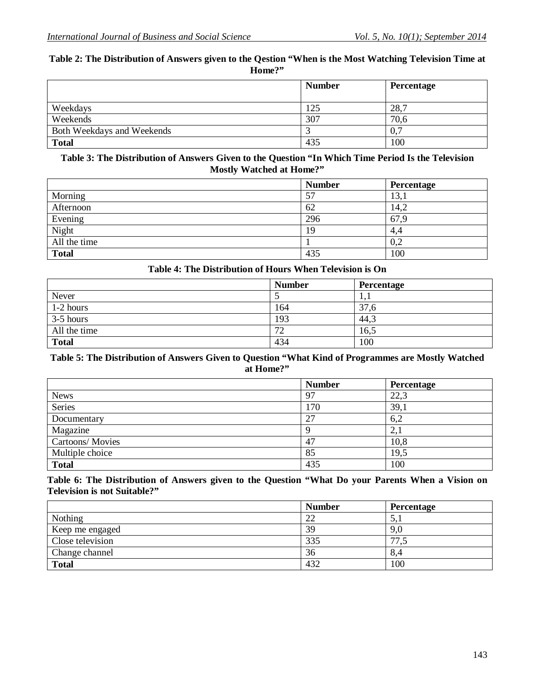#### **Table 2: The Distribution of Answers given to the Qestion "When is the Most Watching Television Time at Home?"**

|                            | <b>Number</b> | Percentage |
|----------------------------|---------------|------------|
| Weekdays                   | 125           | 28,7       |
| Weekends                   | 307           | 70,6       |
| Both Weekdays and Weekends |               | 0,7        |
| <b>Total</b>               | 435           | 100        |

#### **Table 3: The Distribution of Answers Given to the Question "In Which Time Period Is the Television Mostly Watched at Home?"**

|              | <b>Number</b> | Percentage |
|--------------|---------------|------------|
| Morning      | 57            | 13,1       |
| Afternoon    | 62            | 14,2       |
| Evening      | 296           | 67,9       |
| Night        | 19            | 4,4        |
| All the time |               | 0,2        |
| <b>Total</b> | 435           | 100        |

#### **Table 4: The Distribution of Hours When Television is On**

|              | <b>Number</b> | Percentage |
|--------------|---------------|------------|
| Never        |               | 1,1        |
| $1-2$ hours  | 164           | 37,6       |
| $3-5$ hours  | 193           | 44,3       |
| All the time | 72            | 16,5       |
| <b>Total</b> | 434           | 100        |

#### **Table 5: The Distribution of Answers Given to Question "What Kind of Programmes are Mostly Watched at Home?"**

|                        | <b>Number</b> | <b>Percentage</b> |
|------------------------|---------------|-------------------|
| <b>News</b>            | 97            | 22,3              |
| Series                 | 170           | 39,1              |
| Documentary            | 27            | 6,2               |
| Magazine               |               | 2,1               |
| <b>Cartoons/Movies</b> | 47            | 10,8              |
| Multiple choice        | 85            | 19,5              |
| <b>Total</b>           | 435           | 100               |

#### **Table 6: The Distribution of Answers given to the Question "What Do your Parents When a Vision on Television is not Suitable?"**

|                  | <b>Number</b> | Percentage |
|------------------|---------------|------------|
| Nothing          | 22            | 5.         |
| Keep me engaged  | 39            | 9,0        |
| Close television | 335           | 77,5       |
| Change channel   | 36            | 8,4        |
| <b>Total</b>     | 432           | 100        |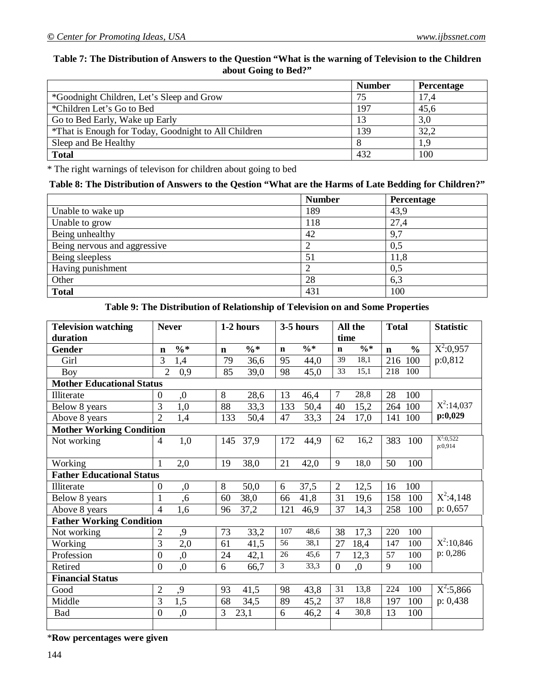#### **Table 7: The Distribution of Answers to the Question "What is the warning of Television to the Children about Going to Bed?"**

|                                                      | <b>Number</b> | Percentage |
|------------------------------------------------------|---------------|------------|
| *Goodnight Children, Let's Sleep and Grow            | 75            | 17,4       |
| *Children Let's Go to Bed                            | 197           | 45,6       |
| Go to Bed Early, Wake up Early                       | 13            | 3,0        |
| *That is Enough for Today, Goodnight to All Children | 139           | 32,2       |
| Sleep and Be Healthy                                 |               | 1,9        |
| <b>Total</b>                                         | 432           | 100        |

\* The right warnings of televison for children about going to bed

# **Table 8: The Distribution of Answers to the Qestion "What are the Harms of Late Bedding for Children?"**

|                              | <b>Number</b> | Percentage |
|------------------------------|---------------|------------|
| Unable to wake up            | 189           | 43,9       |
| Unable to grow               | 118           | 27,4       |
| Being unhealthy              | 42            | 9,7        |
| Being nervous and aggressive |               | 0,5        |
| Being sleepless              | 51            | 11,8       |
| Having punishment            | ↑             | 0,5        |
| Other                        | 28            | 6,3        |
| <b>Total</b>                 | 431           | 100        |

#### **Table 9: The Distribution of Relationship of Television on and Some Properties**

| <b>Television watching</b>       | <b>Never</b>           | 1-2 hours                      | 3-5 hours                      | All the                        | <b>Total</b>                 | <b>Statistic</b>       |
|----------------------------------|------------------------|--------------------------------|--------------------------------|--------------------------------|------------------------------|------------------------|
| duration                         |                        |                                |                                | time                           |                              |                        |
| Gender                           | $\% *$<br>n            | $\frac{0}{6}$ *<br>$\mathbf n$ | $\frac{0}{6}$ *<br>$\mathbf n$ | $\frac{0}{6}$ *<br>$\mathbf n$ | $\frac{0}{0}$<br>$\mathbf n$ | $X^2:0,957$            |
| Girl                             | 3<br>1,4               | 79<br>36,6                     | 95<br>44,0                     | 18,1<br>39                     | 216 100                      | p:0,812                |
| <b>Boy</b>                       | $\overline{2}$<br>0,9  | 39,0<br>85                     | 98<br>45,0                     | 33<br>15,1                     | 218<br>100                   |                        |
| <b>Mother Educational Status</b> |                        |                                |                                |                                |                              |                        |
| Illiterate                       | ,0<br>$\boldsymbol{0}$ | 8<br>28,6                      | 13<br>46,4                     | $\tau$<br>28,8                 | 28<br>100                    |                        |
| Below 8 years                    | 3<br>1,0               | 33,3<br>88                     | 133<br>50,4                    | $\overline{15,2}$<br>40        | 100<br>264                   | $X^2$ :14,037          |
| Above 8 years                    | $\overline{2}$<br>1,4  | 133<br>50,4                    | 47<br>33,3                     | 24<br>17,0                     | 100<br>141                   | p:0,029                |
| <b>Mother Working Condition</b>  |                        |                                |                                |                                |                              |                        |
| Not working                      | 1,0<br>$\overline{4}$  | 37,9<br>145                    | 172<br>44,9                    | 16,2<br>62                     | 383<br>100                   | $X^2:0,522$<br>p:0,914 |
|                                  |                        |                                |                                |                                |                              |                        |
| Working                          | 2,0<br>1               | 38,0<br>19                     | 21<br>42,0                     | 9<br>18,0                      | 50<br>100                    |                        |
| <b>Father Educational Status</b> |                        |                                |                                |                                |                              |                        |
| Illiterate                       | ,0<br>$\overline{0}$   | 8<br>50,0                      | 37,5<br>6                      | $\overline{2}$<br>12,5         | 100<br>16                    |                        |
| Below 8 years                    | $\mathbf{1}$<br>,6     | 38,0<br>60                     | 41,8<br>66                     | 31<br>19,6                     | 158<br>100                   | $X^2:4,148$            |
| Above 8 years                    | $\overline{4}$<br>1,6  | 37,2<br>96                     | 121<br>46,9                    | 37<br>14,3                     | 258<br>100                   | p: 0,657               |
| <b>Father Working Condition</b>  |                        |                                |                                |                                |                              |                        |
| Not working                      | ,9<br>$\overline{2}$   | 73<br>33,2                     | 107<br>48,6                    | 38<br>17,3                     | 220<br>100                   |                        |
| Working                          | 3<br>$\overline{2,0}$  | 41,5<br>61                     | 38,1<br>56                     | 18,4<br>27                     | 147<br>100                   | $X^2:10,846$           |
| Profession                       | ,0<br>$\theta$         | 24<br>42,1                     | 26<br>45,6                     | $\overline{7}$<br>12,3         | 57<br>100                    | p: 0,286               |
| Retired                          | ,0<br>$\overline{0}$   | 6<br>66,7                      | $\mathfrak{Z}$<br>33,3         | $\overline{0}$<br>,0           | 9<br>100                     |                        |
| <b>Financial Status</b>          |                        |                                |                                |                                |                              |                        |
| Good                             | $\overline{2}$<br>,9   | 93<br>41,5                     | 98<br>43,8                     | 31<br>13,8                     | 224<br>100                   | $X^2:5,866$            |
| Middle                           | 3<br>1,5               | 34,5<br>68                     | 89<br>45,2                     | 37<br>18,8                     | 197<br>100                   | p: 0,438               |
| Bad                              | $\overline{0}$<br>,0   | 3<br>23,1                      | 46,2<br>6                      | $\overline{4}$<br>30,8         | 13<br>100                    |                        |
|                                  |                        |                                |                                |                                |                              |                        |

\***Row percentages were given**